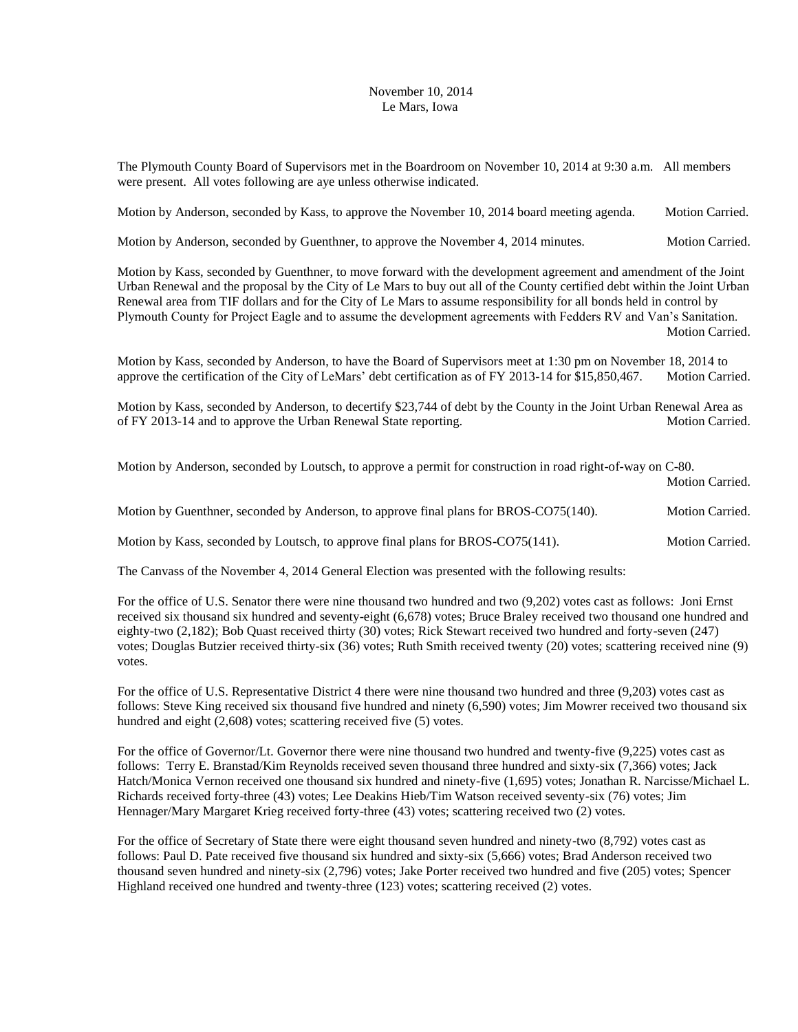## November 10, 2014 Le Mars, Iowa

The Plymouth County Board of Supervisors met in the Boardroom on November 10, 2014 at 9:30 a.m. All members were present. All votes following are aye unless otherwise indicated.

Motion by Anderson, seconded by Kass, to approve the November 10, 2014 board meeting agenda. Motion Carried.

Motion by Anderson, seconded by Guenthner, to approve the November 4, 2014 minutes. Motion Carried.

Motion by Kass, seconded by Guenthner, to move forward with the development agreement and amendment of the Joint Urban Renewal and the proposal by the City of Le Mars to buy out all of the County certified debt within the Joint Urban Renewal area from TIF dollars and for the City of Le Mars to assume responsibility for all bonds held in control by Plymouth County for Project Eagle and to assume the development agreements with Fedders RV and Van's Sanitation. Motion Carried.

Motion by Kass, seconded by Anderson, to have the Board of Supervisors meet at 1:30 pm on November 18, 2014 to approve the certification of the City of LeMars' debt certification as of FY 2013-14 for \$15,850,467. Motion Carried.

Motion by Kass, seconded by Anderson, to decertify \$23,744 of debt by the County in the Joint Urban Renewal Area as of FY 2013-14 and to approve the Urban Renewal State reporting. Motion Carried.

Motion by Anderson, seconded by Loutsch, to approve a permit for construction in road right-of-way on C-80.

Motion Carried.

|  | Motion by Guenthner, seconded by Anderson, to approve final plans for BROS-CO75(140). | <b>Motion Carried.</b> |
|--|---------------------------------------------------------------------------------------|------------------------|
|  |                                                                                       |                        |

Motion by Kass, seconded by Loutsch, to approve final plans for BROS-CO75(141). Motion Carried.

The Canvass of the November 4, 2014 General Election was presented with the following results:

For the office of U.S. Senator there were nine thousand two hundred and two (9,202) votes cast as follows: Joni Ernst received six thousand six hundred and seventy-eight (6,678) votes; Bruce Braley received two thousand one hundred and eighty-two (2,182); Bob Quast received thirty (30) votes; Rick Stewart received two hundred and forty-seven (247) votes; Douglas Butzier received thirty-six (36) votes; Ruth Smith received twenty (20) votes; scattering received nine (9) votes.

For the office of U.S. Representative District 4 there were nine thousand two hundred and three (9,203) votes cast as follows: Steve King received six thousand five hundred and ninety (6,590) votes; Jim Mowrer received two thousand six hundred and eight (2,608) votes; scattering received five (5) votes.

For the office of Governor/Lt. Governor there were nine thousand two hundred and twenty-five (9,225) votes cast as follows: Terry E. Branstad/Kim Reynolds received seven thousand three hundred and sixty-six (7,366) votes; Jack Hatch/Monica Vernon received one thousand six hundred and ninety-five (1,695) votes; Jonathan R. Narcisse/Michael L. Richards received forty-three (43) votes; Lee Deakins Hieb/Tim Watson received seventy-six (76) votes; Jim Hennager/Mary Margaret Krieg received forty-three (43) votes; scattering received two (2) votes.

For the office of Secretary of State there were eight thousand seven hundred and ninety-two (8,792) votes cast as follows: Paul D. Pate received five thousand six hundred and sixty-six (5,666) votes; Brad Anderson received two thousand seven hundred and ninety-six (2,796) votes; Jake Porter received two hundred and five (205) votes; Spencer Highland received one hundred and twenty-three (123) votes; scattering received (2) votes.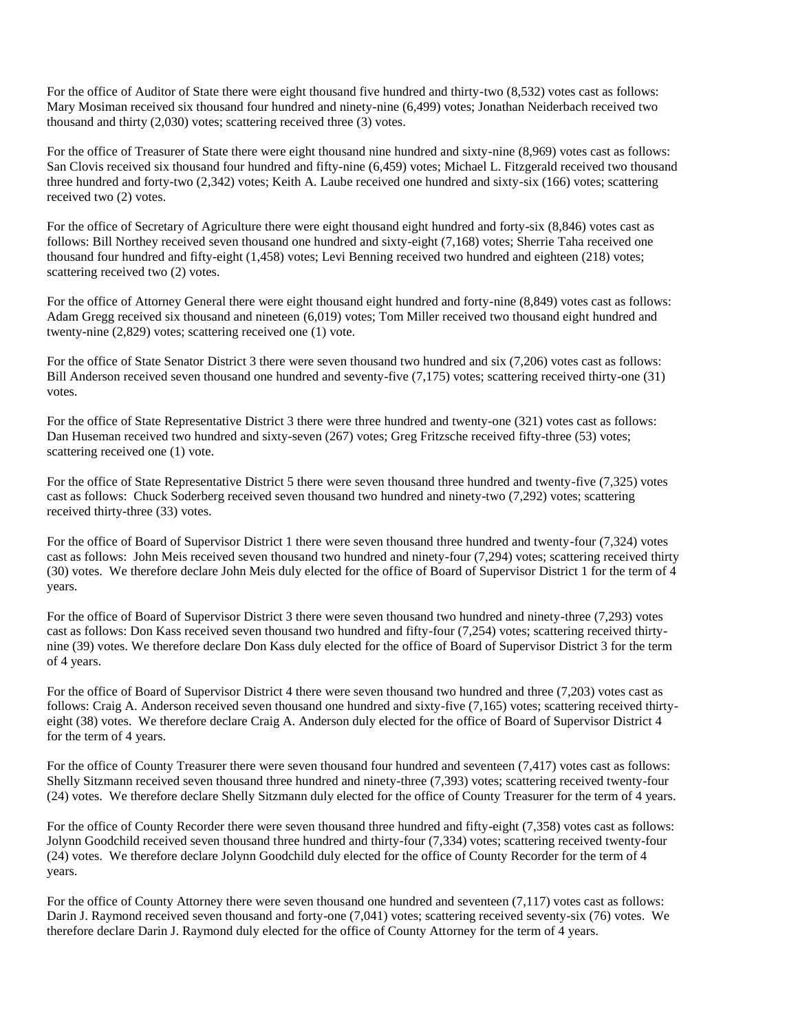For the office of Auditor of State there were eight thousand five hundred and thirty-two  $(8,532)$  votes cast as follows: Mary Mosiman received six thousand four hundred and ninety-nine (6,499) votes; Jonathan Neiderbach received two thousand and thirty (2,030) votes; scattering received three (3) votes.

For the office of Treasurer of State there were eight thousand nine hundred and sixty-nine  $(8,969)$  votes cast as follows: San Clovis received six thousand four hundred and fifty-nine (6,459) votes; Michael L. Fitzgerald received two thousand three hundred and forty-two (2,342) votes; Keith A. Laube received one hundred and sixty-six (166) votes; scattering received two (2) votes.

For the office of Secretary of Agriculture there were eight thousand eight hundred and forty-six (8,846) votes cast as follows: Bill Northey received seven thousand one hundred and sixty-eight (7,168) votes; Sherrie Taha received one thousand four hundred and fifty-eight (1,458) votes; Levi Benning received two hundred and eighteen (218) votes; scattering received two (2) votes.

For the office of Attorney General there were eight thousand eight hundred and forty-nine (8,849) votes cast as follows: Adam Gregg received six thousand and nineteen (6,019) votes; Tom Miller received two thousand eight hundred and twenty-nine (2,829) votes; scattering received one (1) vote.

For the office of State Senator District 3 there were seven thousand two hundred and six (7,206) votes cast as follows: Bill Anderson received seven thousand one hundred and seventy-five (7,175) votes; scattering received thirty-one (31) votes.

For the office of State Representative District 3 there were three hundred and twenty-one (321) votes cast as follows: Dan Huseman received two hundred and sixty-seven (267) votes; Greg Fritzsche received fifty-three (53) votes; scattering received one (1) vote.

For the office of State Representative District 5 there were seven thousand three hundred and twenty-five (7,325) votes cast as follows: Chuck Soderberg received seven thousand two hundred and ninety-two (7,292) votes; scattering received thirty-three (33) votes.

For the office of Board of Supervisor District 1 there were seven thousand three hundred and twenty-four (7,324) votes cast as follows: John Meis received seven thousand two hundred and ninety-four (7,294) votes; scattering received thirty (30) votes. We therefore declare John Meis duly elected for the office of Board of Supervisor District 1 for the term of 4 years.

For the office of Board of Supervisor District 3 there were seven thousand two hundred and ninety-three (7,293) votes cast as follows: Don Kass received seven thousand two hundred and fifty-four (7,254) votes; scattering received thirtynine (39) votes. We therefore declare Don Kass duly elected for the office of Board of Supervisor District 3 for the term of 4 years.

For the office of Board of Supervisor District 4 there were seven thousand two hundred and three (7,203) votes cast as follows: Craig A. Anderson received seven thousand one hundred and sixty-five (7,165) votes; scattering received thirtyeight (38) votes. We therefore declare Craig A. Anderson duly elected for the office of Board of Supervisor District 4 for the term of 4 years.

For the office of County Treasurer there were seven thousand four hundred and seventeen  $(7,417)$  votes cast as follows: Shelly Sitzmann received seven thousand three hundred and ninety-three (7,393) votes; scattering received twenty-four (24) votes. We therefore declare Shelly Sitzmann duly elected for the office of County Treasurer for the term of 4 years.

For the office of County Recorder there were seven thousand three hundred and fifty-eight (7,358) votes cast as follows: Jolynn Goodchild received seven thousand three hundred and thirty-four (7,334) votes; scattering received twenty-four (24) votes. We therefore declare Jolynn Goodchild duly elected for the office of County Recorder for the term of 4 years.

For the office of County Attorney there were seven thousand one hundred and seventeen (7,117) votes cast as follows: Darin J. Raymond received seven thousand and forty-one (7,041) votes; scattering received seventy-six (76) votes. We therefore declare Darin J. Raymond duly elected for the office of County Attorney for the term of 4 years.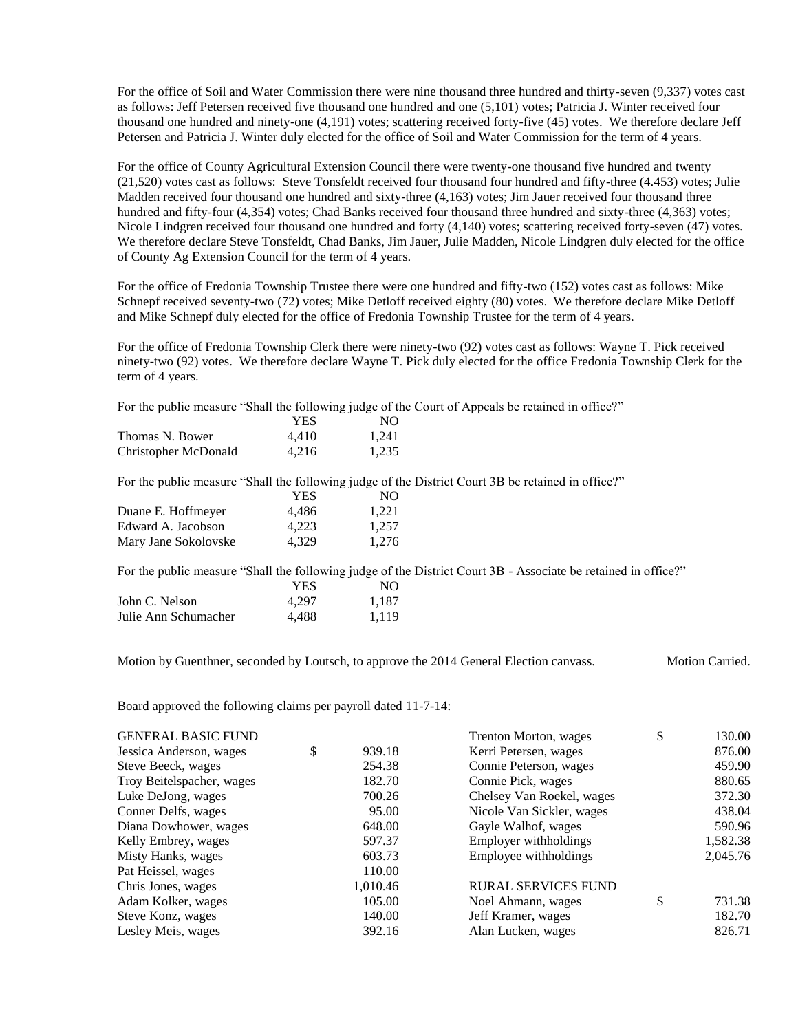For the office of Soil and Water Commission there were nine thousand three hundred and thirty-seven (9,337) votes cast as follows: Jeff Petersen received five thousand one hundred and one (5,101) votes; Patricia J. Winter received four thousand one hundred and ninety-one (4,191) votes; scattering received forty-five (45) votes. We therefore declare Jeff Petersen and Patricia J. Winter duly elected for the office of Soil and Water Commission for the term of 4 years.

For the office of County Agricultural Extension Council there were twenty-one thousand five hundred and twenty (21,520) votes cast as follows: Steve Tonsfeldt received four thousand four hundred and fifty-three (4.453) votes; Julie Madden received four thousand one hundred and sixty-three (4,163) votes; Jim Jauer received four thousand three hundred and fifty-four (4,354) votes; Chad Banks received four thousand three hundred and sixty-three (4,363) votes; Nicole Lindgren received four thousand one hundred and forty (4,140) votes; scattering received forty-seven (47) votes. We therefore declare Steve Tonsfeldt, Chad Banks, Jim Jauer, Julie Madden, Nicole Lindgren duly elected for the office of County Ag Extension Council for the term of 4 years.

For the office of Fredonia Township Trustee there were one hundred and fifty-two (152) votes cast as follows: Mike Schnepf received seventy-two (72) votes; Mike Detloff received eighty (80) votes. We therefore declare Mike Detloff and Mike Schnepf duly elected for the office of Fredonia Township Trustee for the term of 4 years.

For the office of Fredonia Township Clerk there were ninety-two (92) votes cast as follows: Wayne T. Pick received ninety-two (92) votes. We therefore declare Wayne T. Pick duly elected for the office Fredonia Township Clerk for the term of 4 years.

For the public measure "Shall the following judge of the Court of Appeals be retained in office?"

|                      | YES   | NO.   |
|----------------------|-------|-------|
| Thomas N. Bower      | 4.410 | 1,241 |
| Christopher McDonald | 4.216 | 1.235 |
|                      |       |       |

For the public measure "Shall the following judge of the District Court 3B be retained in office?"

| YES   | NO.   |
|-------|-------|
| 4.486 | 1.221 |
| 4.223 | 1.257 |
| 4.329 | 1.276 |
|       |       |

For the public measure "Shall the following judge of the District Court 3B - Associate be retained in office?"

|                      | YES   | NO    |
|----------------------|-------|-------|
| John C. Nelson       | 4.297 | 1.187 |
| Julie Ann Schumacher | 4.488 | 1,119 |

Motion by Guenthner, seconded by Loutsch, to approve the 2014 General Election canvass. Motion Carried.

Board approved the following claims per payroll dated 11-7-14:

| <b>GENERAL BASIC FUND</b> |              | Trenton Morton, wages      | \$<br>130.00 |
|---------------------------|--------------|----------------------------|--------------|
| Jessica Anderson, wages   | \$<br>939.18 | Kerri Petersen, wages      | 876.00       |
| Steve Beeck, wages        | 254.38       | Connie Peterson, wages     | 459.90       |
| Troy Beitelspacher, wages | 182.70       | Connie Pick, wages         | 880.65       |
| Luke DeJong, wages        | 700.26       | Chelsey Van Roekel, wages  | 372.30       |
| Conner Delfs, wages       | 95.00        | Nicole Van Sickler, wages  | 438.04       |
| Diana Dowhower, wages     | 648.00       | Gayle Walhof, wages        | 590.96       |
| Kelly Embrey, wages       | 597.37       | Employer withholdings      | 1,582.38     |
| Misty Hanks, wages        | 603.73       | Employee withholdings      | 2,045.76     |
| Pat Heissel, wages        | 110.00       |                            |              |
| Chris Jones, wages        | 1,010.46     | <b>RURAL SERVICES FUND</b> |              |
| Adam Kolker, wages        | 105.00       | Noel Ahmann, wages         | \$<br>731.38 |
| Steve Konz, wages         | 140.00       | Jeff Kramer, wages         | 182.70       |
| Lesley Meis, wages        | 392.16       | Alan Lucken, wages         | 826.71       |